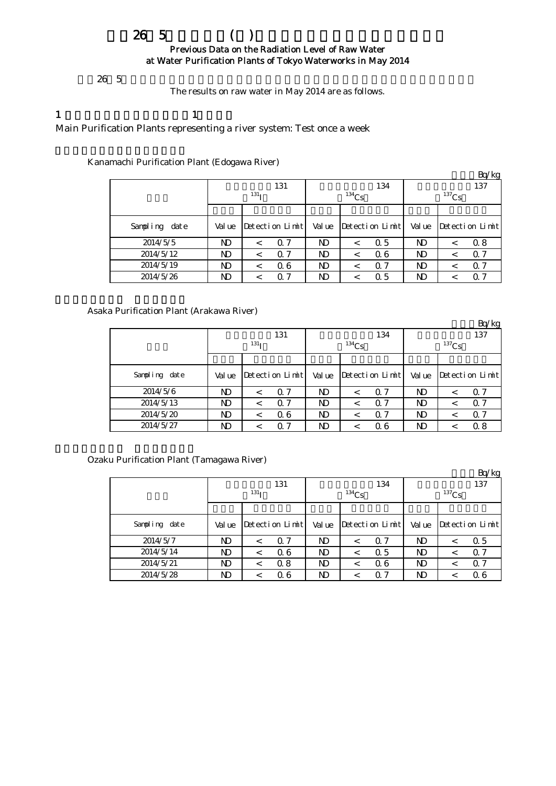## $265$  () Previous Data on the Radiation Level of Raw Water at Water Purification Plants of Tokyo Waterworks in May 2014

The results on raw water in May 2014 are as follows.

## 1  $\qquad \qquad 1$

Main Purification Plants representing a river system: Test once a week

Kanamachi Purification Plant (Edogawa River)

|                  |        |                  |                 |                |          |                 |          |         | Bq/kg           |  |
|------------------|--------|------------------|-----------------|----------------|----------|-----------------|----------|---------|-----------------|--|
|                  |        |                  | 131             |                |          | 134             | 137      |         |                 |  |
|                  |        | 131 <sub>T</sub> |                 |                | $134$ Cs |                 | $137$ Cs |         |                 |  |
|                  |        |                  |                 |                |          |                 |          |         |                 |  |
| Sampling<br>date | Val ue |                  | Detection Limit | Val ue         |          | Detection Limit | Val ue   |         | Detection Limit |  |
| 2014/5/5         | ND     |                  | Q 7             | N <sub>D</sub> | $\,<\,$  | Q 5             | ND       | $\,<\,$ | 0.8             |  |
| 2014/5/12        | ND.    | $\,<\,$          | Q 7             | ND             | <        | 06              | ND       | $\,<\,$ | $\alpha$ 7      |  |
| 2014/5/19        | ND.    |                  | 06              | ND             | <        | $\Omega$ 7      | ND       | <       | $\Omega$ 7      |  |
| 2014/5/26        | ND     |                  | $\alpha$ 7      | ND             | ≺        | $\Omega$ 5      | ND       |         | $\alpha$ 7      |  |

### Asaka Purification Plant (Arakawa River)

|               |                  |         |                 |        |          |                 |          |         | Bq/kg           |  |
|---------------|------------------|---------|-----------------|--------|----------|-----------------|----------|---------|-----------------|--|
|               |                  |         | 131             |        |          | 134             | 137      |         |                 |  |
|               | 131 <sub>T</sub> |         |                 |        | $134$ Cs |                 | $137$ Cs |         |                 |  |
|               |                  |         |                 |        |          |                 |          |         |                 |  |
| Sampling date | Val ue           |         | Detection Limit | Val ue |          | Detection Limit | Val ue   |         | Detection Limit |  |
| 2014/5/6      | ND               |         | 0.7             | ND     |          | $\Omega$ 7      | ND       | $\,<\,$ | $\Omega$ 7      |  |
| 2014/5/13     | ND               | <       | 0.7             | ND     | ≺        | $\Omega$ 7      | ND       | $\,<\,$ | $\Omega$ 7      |  |
| 2014/5/20     | ND               | $\,<\,$ | 06              | ND     | $\,<\,$  | $\Omega$ 7      | N)       | <       | Q 7             |  |
| 2014/5/27     | ND               |         | 0.7             | ND     |          | 06              | ND       |         | 0.8             |  |

Ozaku Purification Plant (Tamagawa River)

|               |        |                  |                 |                |          |                 |          |         | Bq/kg           |  |
|---------------|--------|------------------|-----------------|----------------|----------|-----------------|----------|---------|-----------------|--|
|               |        |                  | 131             |                |          | 134             | 137      |         |                 |  |
|               |        | 131 <sub>T</sub> |                 |                | $134$ Cs |                 | $137$ Cs |         |                 |  |
|               |        |                  |                 |                |          |                 |          |         |                 |  |
| Sampling date | Val ue |                  | Detection Limit | Value          |          | Detection Limit | Val ue   |         | Detection Limit |  |
| 2014/5/7      | ND     | <                | Q 7             | N <sub>D</sub> |          | $\Omega$ 7      | ND       | $\,<\,$ | Q 5             |  |
| 2014/5/14     | ND     | <                | 06              | N <sub>D</sub> | <        | 0.5             | ND       | <       | $\Omega$ 7      |  |
| 2014/5/21     | ND     | $\,<\,$          | 0.8             | N <sub>D</sub> | $\,<\,$  | 06              | ND       | $\,<\,$ | $\Omega$ 7      |  |
| 2014/5/28     | ND     | <                | 06              | ND             |          | $\Omega$ 7      | ND       |         | Q 6             |  |

 $26\;5$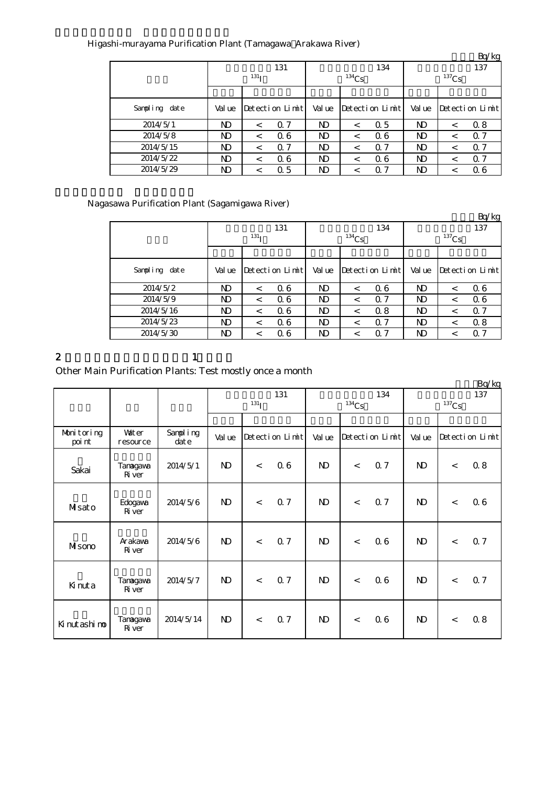|               |        |                  |                 |                |          |                 |          |         | Bq/kg           |  |
|---------------|--------|------------------|-----------------|----------------|----------|-----------------|----------|---------|-----------------|--|
|               |        |                  | 131             |                |          | 134             | 137      |         |                 |  |
|               |        | 131 <sub>T</sub> |                 |                | $134$ Cs |                 | $137$ Cs |         |                 |  |
|               |        |                  |                 |                |          |                 |          |         |                 |  |
| Sampling date | Val ue |                  | Detection Limit | Value          |          | Detection Limit | Val ue   |         | Detection Limit |  |
| 2014/5/1      | ND     | $\,<\,$          | 0.7             | ND             | $\,<\,$  | 0.5             | N)       | $\,<\,$ | 0.8             |  |
| 2014/5/8      | ND     | $\,<\,$          | 06              | N <sub>D</sub> |          | 06              | ND       | $\,<\,$ | 0.7             |  |
| 2014/5/15     | ND     | $\,<\,$          | 0.7             | N <sub>D</sub> | $\,<\,$  | $\Omega$ 7      | ND       | $\,<\,$ | Q <sub>7</sub>  |  |
| 2014/5/22     | ND     | $\,<\,$          | 06              | N <sub>D</sub> |          | 06              | N)       | $\,<\,$ | 0.7             |  |
| 2014/5/29     | ND     | <                | 0.5             | ND             |          | Q 7             | ND       |         | Q 6             |  |

### Higashi-murayama Purification Plant (Tamagawa Arakawa River)

# Nagasawa Purification Plant (Sagamigawa River)

|               |        |                       |                 |                |          |                 |          |         | Bq/kg           |  |
|---------------|--------|-----------------------|-----------------|----------------|----------|-----------------|----------|---------|-----------------|--|
|               |        |                       | 131             |                |          | 134             | 137      |         |                 |  |
|               |        | $^{131}$ <sub>I</sub> |                 |                | $134$ Cs |                 | $137$ Cs |         |                 |  |
|               |        |                       |                 |                |          |                 |          |         |                 |  |
| Sampling date | Val ue |                       | Detection Limit | Val ue         |          | Detection Limit | Val ue   |         | Detection Limit |  |
| 2014/5/2      | ND     | $\,<\,$               | 06              | ND             | $\,<\,$  | 06              | ND       | $\,<\,$ | 06              |  |
| 2014/5/9      | ND     | $\,<\,$               | 06              | N <sub>D</sub> | $\,<\,$  | $\Omega$ 7      | ND       | $\,<\,$ | 06              |  |
| 2014/5/16     | ND     | $\,<\,$               | 06              | ND             | <        | 0.8             | ND       | <       | Q <sub>7</sub>  |  |
| 2014/5/23     | ND     | $\,<\,$               | 06              | ND             | $\,<\,$  | $\Omega$ 7      | ND       | <       | 0.8             |  |
| 2014/5/30     | ND     | $\,<\,$               | 06              | ND             | $\,<\,$  | 07              | ND       | <       | $\alpha$ 7      |  |

#### 2  $1$

## Other Main Purification Plants: Test mostly once a month

|                      |                           |                   |                         |         |                 |              |          |                 |                            |       | Bq/kg           |
|----------------------|---------------------------|-------------------|-------------------------|---------|-----------------|--------------|----------|-----------------|----------------------------|-------|-----------------|
|                      |                           |                   | 131<br>131 <sub>I</sub> |         |                 |              | $134$ Cs | 134             | 137<br>$^{137}\mathrm{Cs}$ |       |                 |
|                      |                           |                   |                         |         |                 |              |          |                 |                            |       |                 |
| Monitoring<br>poi nt | <b>Vater</b><br>resource  | Sampling<br>dat e | Val ue                  |         | Detection Limit | Val ue       |          | Detection Limit | Val ue                     |       | Detection Limit |
| Sakai                | Tanagawa<br><b>R</b> ver  | 2014/5/1          | $\mathbf{N}$            | $\prec$ | 06              | $\mathbf{D}$ | $\,<$    | <b>Q7</b>       | N)                         | $\,<$ | 0.8             |
| Misato               | Edogava<br>Ri ver         | 2014/5/6          | $\mathbf{D}$            | $\lt$   | 0.7             | $\mathbf{D}$ | $\,<$    | 0.7             | N)                         | $\,<$ | 06              |
| MIsono               | Arakawa<br>Ri ver         | 2014/5/6          | $\mathbf{D}$            | $\,<$   | 0.7             | $\mathbf{D}$ | $\,<$    | 06              | $\mathbf{D}$               | $\,<$ | Q 7             |
| Kinuta               | Tanagawa<br><b>R</b> iver | 2014/5/7          | $\mathbf{D}$            | $\lt$   | 0.7             | $\mathbf{D}$ | $\,<$    | 06              | $\mathbf{D}$               | $\,<$ | 0.7             |
| Ki nut ashi no       | Tanagawa<br><b>R</b> iver | 2014/5/14         | $\mathbf{N}$            | $\lt$   | 0.7             | $\mathbf{D}$ | $\,<$    | 06              | $\mathbf{D}$               | $\lt$ | 0.8             |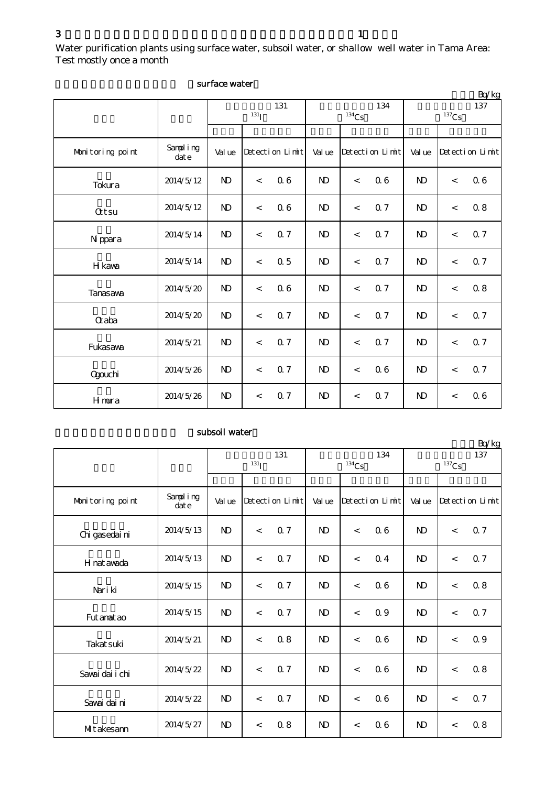Water purification plants using surface water, subsoil water, or shallow well water in Tama Area: Test mostly once a month

|                  |                  |                |                  |                 |                |                            |                 |              |                          | Bq/kg           |  |
|------------------|------------------|----------------|------------------|-----------------|----------------|----------------------------|-----------------|--------------|--------------------------|-----------------|--|
|                  |                  |                | 131 <sub>I</sub> | 131             |                | 134<br>$^{134}\mathrm{Cs}$ |                 |              | 137<br>$137$ Cs          |                 |  |
|                  |                  |                |                  |                 |                |                            |                 |              |                          |                 |  |
| Monitoring point | Sampling<br>date | Val ue         |                  | Detection Limit | Val ue         |                            | Detection Limit | Val ue       |                          | Detection Limit |  |
| Tokura           | 2014/5/12        | N <sub>D</sub> | $\lt$            | 06              | $\mathbf{D}$   | $\overline{\phantom{a}}$   | 06              | $\mathbf{D}$ | $\lt$                    | 06              |  |
| <b>Qtsu</b>      | 2014/5/12        | $\mathbf{N}$   | $\,<$            | 06              | $\mathbf{D}$   | $\lt$                      | Q 7             | $\mathbf{D}$ | $\lt$                    | 0.8             |  |
| N ppara          | 2014/5/14        | $\mathbf{N}$   | $\lt$            | Q 7             | $\mathbf{N}$   | $\prec$                    | <b>Q7</b>       | $\mathbf{N}$ | $\,<$                    | 0.7             |  |
| H kawa           | 2014/5/14        | $\mathbf{N}$   | $\lt$            | 0.5             | N <sub>D</sub> | $\lt$                      | Q <sub>7</sub>  | $\mathbf{D}$ | $\,<$                    | 0.7             |  |
| Tanasawa         | 2014/5/20        | $\mathbf{N}$   | $\lt$            | 0.6             | $\mathbf{N}$   | $\overline{\phantom{a}}$   | 0.7             | $\mathbf{N}$ | $\,<$                    | 0.8             |  |
| <b>Q</b> aba     | 2014/5/20        | $\mathbf{N}$   | $\lt$            | Q <sub>7</sub>  | $\mathbf{D}$   | $\lt$                      | 0.7             | $\mathbf{D}$ | $\,<$                    | 0.7             |  |
| Fukasawa         | 2014/5/21        | $\mathbf{N}$   | $\lt$            | 0.7             | $\mathbf{D}$   | $\lt$                      | 0.7             | $\mathbf{D}$ | $\,<$                    | 0.7             |  |
| <b>Ogouchi</b>   | 2014/5/26        | $\mathbf{N}$   | $\,<$            | 0.7             | $\mathbf{D}$   | $\,<\,$                    | 06              | $\mathbf{D}$ | $\,<$                    | 0.7             |  |
| Hmura            | 2014/5/26        | $\mathbf{N}$   | $\lt$            | <b>Q7</b>       | $\mathbf{N}$   | $\overline{\phantom{a}}$   | Q 7             | $\mathbf{N}$ | $\overline{\phantom{a}}$ | 06              |  |

#### surface water

#### subsoil water

|                  |                   |              |                          |                 |              |                          |                 |                     |         | Bq/kg           |
|------------------|-------------------|--------------|--------------------------|-----------------|--------------|--------------------------|-----------------|---------------------|---------|-----------------|
|                  |                   |              |                          | 131             |              |                          | 134             |                     |         | 137             |
|                  |                   |              | $131$ <sub>I</sub>       |                 |              | $134$ Cs                 |                 | $^{137}\mathrm{Cs}$ |         |                 |
|                  |                   |              |                          |                 |              |                          |                 |                     |         |                 |
| Monitoring point | Sampling<br>dat e | Val ue       |                          | Detection Limit | Val ue       |                          | Detection Limit | Val ue              |         | Detection Limit |
| Chi gasedai ni   | 2014/5/13         | $\mathbf{N}$ | $\lt$                    | 0.7             | $\mathbf{D}$ | $\lt$                    | 06              | N <sub>D</sub>      | $\lt$   | Q <sub>7</sub>  |
| H nat awada      | 2014/5/13         | $\mathbf{N}$ | $\,<\,$                  | <b>Q7</b>       | $\mathbf{D}$ | $\lt$                    | 0 <sub>4</sub>  | $\mathbf{N}$        | $\,<\,$ | 0.7             |
| Nari ki          | 2014/5/15         | $\mathbf{N}$ | $\overline{\phantom{a}}$ | 0.7             | $\mathbf{D}$ | $\overline{\phantom{a}}$ | 06              | N <sub>D</sub>      | $\,<\,$ | 08              |
| Fut anat ao      | 2014/5/15         | $\mathbf{N}$ | $\overline{\phantom{a}}$ | 0.7             | $\mathbf{D}$ | $\overline{\phantom{a}}$ | 0.9             | N <sub>D</sub>      | $\,<$   | 0.7             |
| Takat suki       | 2014/5/21         | <b>N</b>     | $\prec$                  | 0.8             | $\mathbf{D}$ | $\lt$                    | 06              | $\mathbf{N}$        | $\,<\,$ | 0.9             |
| Savai dai i chi  | 2014/5/22         | <b>N</b>     | $\overline{a}$           | 0.7             | <b>ND</b>    | $\overline{\phantom{a}}$ | 06              | N <sub>D</sub>      | $\,<$   | 0.8             |
| Savai dai ni     | 2014/5/22         | $\mathbf{D}$ | $\overline{\phantom{a}}$ | 0.7             | $\mathbf{D}$ | $\lt$                    | 06              | $\mathbf{N}$        | $\lt$   | 0.7             |
| MItakesann       | 2014/5/27         | $\mathbf{N}$ | $\,<\,$                  | 0.8             | $\mathbf{D}$ | $\,<\,$                  | 06              | $\mathbf{N}$        | $\prec$ | 0.8             |